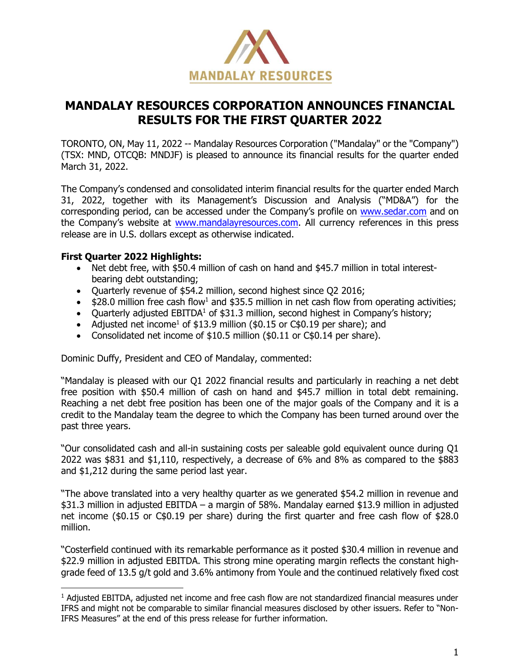

# **MANDALAY RESOURCES CORPORATION ANNOUNCES FINANCIAL RESULTS FOR THE FIRST QUARTER 2022**

TORONTO, ON, May 11, 2022 -- Mandalay Resources Corporation ("Mandalay" or the "Company") (TSX: MND, OTCQB: MNDJF) is pleased to announce its financial results for the quarter ended March 31, 2022.

The Company's condensed and consolidated interim financial results for the quarter ended March 31, 2022, together with its Management's Discussion and Analysis ("MD&A") for the corresponding period, can be accessed under the Company's profile on [www.sedar.com](http://www.sedar.com/) and on the Company's website at [www.mandalayresources.com.](http://www.mandalayresources.com/) All currency references in this press release are in U.S. dollars except as otherwise indicated.

# **First Quarter 2022 Highlights:**

- Net debt free, with \$50.4 million of cash on hand and \$45.7 million in total interestbearing debt outstanding;
- Quarterly revenue of \$54.2 million, second highest since Q2 2016;
- $$28.0$  million free cash flow<sup>1</sup> and \$35.5 million in net cash flow from operating activities;
- Ouarterly adjusted  $EBITDA<sup>1</sup>$  of \$31.3 million, second highest in Company's history;
- Adjusted net income<sup>1</sup> of \$13.9 million (\$0.15 or C\$0.19 per share); and
- Consolidated net income of \$10.5 million (\$0.11 or C\$0.14 per share).

Dominic Duffy, President and CEO of Mandalay, commented:

"Mandalay is pleased with our Q1 2022 financial results and particularly in reaching a net debt free position with \$50.4 million of cash on hand and \$45.7 million in total debt remaining. Reaching a net debt free position has been one of the major goals of the Company and it is a credit to the Mandalay team the degree to which the Company has been turned around over the past three years.

"Our consolidated cash and all-in sustaining costs per saleable gold equivalent ounce during Q1 2022 was \$831 and \$1,110, respectively, a decrease of 6% and 8% as compared to the \$883 and \$1,212 during the same period last year.

"The above translated into a very healthy quarter as we generated \$54.2 million in revenue and \$31.3 million in adjusted EBITDA – a margin of 58%. Mandalay earned \$13.9 million in adjusted net income (\$0.15 or C\$0.19 per share) during the first quarter and free cash flow of \$28.0 million.

"Costerfield continued with its remarkable performance as it posted \$30.4 million in revenue and \$22.9 million in adjusted EBITDA. This strong mine operating margin reflects the constant highgrade feed of 13.5 g/t gold and 3.6% antimony from Youle and the continued relatively fixed cost

<sup>1</sup> Adjusted EBITDA, adjusted net income and free cash flow are not standardized financial measures under IFRS and might not be comparable to similar financial measures disclosed by other issuers. Refer to "Non-IFRS Measures" at the end of this press release for further information.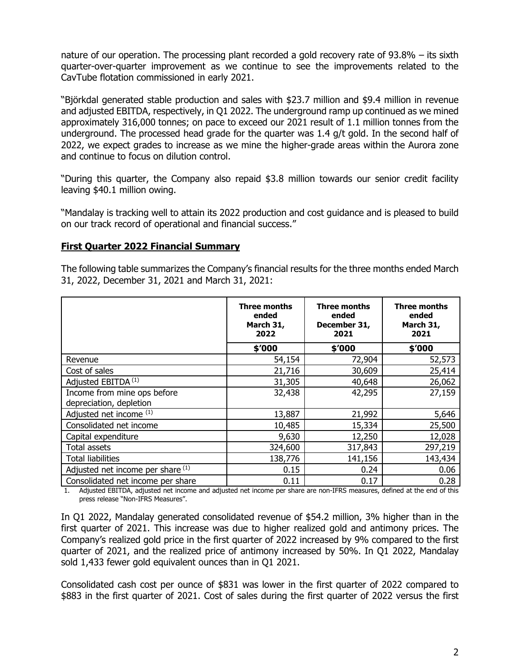nature of our operation. The processing plant recorded a gold recovery rate of 93.8% – its sixth quarter-over-quarter improvement as we continue to see the improvements related to the CavTube flotation commissioned in early 2021.

"Björkdal generated stable production and sales with \$23.7 million and \$9.4 million in revenue and adjusted EBITDA, respectively, in Q1 2022. The underground ramp up continued as we mined approximately 316,000 tonnes; on pace to exceed our 2021 result of 1.1 million tonnes from the underground. The processed head grade for the quarter was 1.4 g/t gold. In the second half of 2022, we expect grades to increase as we mine the higher-grade areas within the Aurora zone and continue to focus on dilution control.

"During this quarter, the Company also repaid \$3.8 million towards our senior credit facility leaving \$40.1 million owing.

"Mandalay is tracking well to attain its 2022 production and cost guidance and is pleased to build on our track record of operational and financial success."

## **First Quarter 2022 Financial Summary**

The following table summarizes the Company's financial results for the three months ended March 31, 2022, December 31, 2021 and March 31, 2021:

|                                   | <b>Three months</b><br>ended<br>March 31,<br>2022 | <b>Three months</b><br>ended<br>December 31,<br>2021 | <b>Three months</b><br>ended<br>March 31,<br>2021 |
|-----------------------------------|---------------------------------------------------|------------------------------------------------------|---------------------------------------------------|
|                                   | \$'000                                            | \$'000                                               | \$'000                                            |
| Revenue                           | 54,154                                            | 72,904                                               | 52,573                                            |
| Cost of sales                     | 21,716                                            | 30,609                                               | 25,414                                            |
| Adjusted EBITDA <sup>(1)</sup>    | 31,305                                            | 40,648                                               | 26,062                                            |
| Income from mine ops before       | 32,438                                            | 42,295                                               | 27,159                                            |
| depreciation, depletion           |                                                   |                                                      |                                                   |
| Adjusted net income (1)           | 13,887                                            | 21,992                                               | 5,646                                             |
| Consolidated net income           | 10,485                                            | 15,334                                               | 25,500                                            |
| Capital expenditure               | 9,630                                             | 12,250                                               | 12,028                                            |
| Total assets                      | 324,600                                           | 317,843                                              | 297,219                                           |
| <b>Total liabilities</b>          | 138,776                                           | 141,156                                              | 143,434                                           |
| Adjusted net income per share (1) | 0.15                                              | 0.24                                                 | 0.06                                              |
| Consolidated net income per share | 0.11                                              | 0.17                                                 | 0.28                                              |

1. Adjusted EBITDA, adjusted net income and adjusted net income per share are non-IFRS measures, defined at the end of this press release "Non-IFRS Measures".

In Q1 2022, Mandalay generated consolidated revenue of \$54.2 million, 3% higher than in the first quarter of 2021. This increase was due to higher realized gold and antimony prices. The Company's realized gold price in the first quarter of 2022 increased by 9% compared to the first quarter of 2021, and the realized price of antimony increased by 50%. In Q1 2022, Mandalay sold 1,433 fewer gold equivalent ounces than in Q1 2021.

Consolidated cash cost per ounce of \$831 was lower in the first quarter of 2022 compared to \$883 in the first quarter of 2021. Cost of sales during the first quarter of 2022 versus the first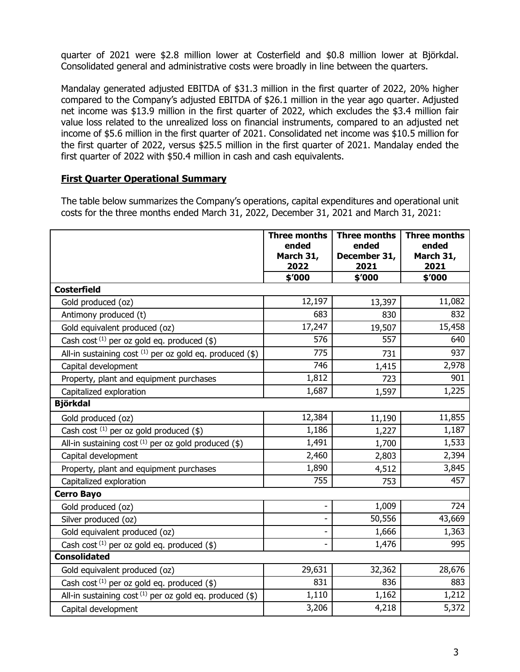quarter of 2021 were \$2.8 million lower at Costerfield and \$0.8 million lower at Björkdal. Consolidated general and administrative costs were broadly in line between the quarters.

Mandalay generated adjusted EBITDA of \$31.3 million in the first quarter of 2022, 20% higher compared to the Company's adjusted EBITDA of \$26.1 million in the year ago quarter. Adjusted net income was \$13.9 million in the first quarter of 2022, which excludes the \$3.4 million fair value loss related to the unrealized loss on financial instruments, compared to an adjusted net income of \$5.6 million in the first quarter of 2021. Consolidated net income was \$10.5 million for the first quarter of 2022, versus \$25.5 million in the first quarter of 2021. Mandalay ended the first quarter of 2022 with \$50.4 million in cash and cash equivalents.

## **First Quarter Operational Summary**

The table below summarizes the Company's operations, capital expenditures and operational unit costs for the three months ended March 31, 2022, December 31, 2021 and March 31, 2021:

|                                                               | <b>Three months</b><br>ended<br>March 31,<br>2022 | <b>Three months</b><br>ended<br>December 31,<br>2021 | <b>Three months</b><br>ended<br>March 31,<br>2021 |
|---------------------------------------------------------------|---------------------------------------------------|------------------------------------------------------|---------------------------------------------------|
|                                                               | \$'000                                            | \$'000                                               | \$'000                                            |
| <b>Costerfield</b>                                            |                                                   |                                                      |                                                   |
| Gold produced (oz)                                            | 12,197                                            | 13,397                                               | 11,082                                            |
| Antimony produced (t)                                         | 683                                               | 830                                                  | 832                                               |
| Gold equivalent produced (oz)                                 | 17,247                                            | 19,507                                               | 15,458                                            |
| Cash cost $(1)$ per oz gold eq. produced $(\$)$               | 576                                               | 557                                                  | 640                                               |
| All-in sustaining cost $^{(1)}$ per oz gold eq. produced (\$) | 775                                               | 731                                                  | 937                                               |
| Capital development                                           | 746                                               | 1,415                                                | 2,978                                             |
| Property, plant and equipment purchases                       | 1,812                                             | 723                                                  | 901                                               |
| Capitalized exploration                                       | 1,687                                             | 1,597                                                | 1,225                                             |
| <b>Björkdal</b>                                               |                                                   |                                                      |                                                   |
| Gold produced (oz)                                            | 12,384                                            | 11,190                                               | 11,855                                            |
| Cash cost $(1)$ per oz gold produced $(\$)$                   | 1,186                                             | 1,227                                                | 1,187                                             |
| All-in sustaining cost $(1)$ per oz gold produced (\$)        | 1,491                                             | 1,700                                                | 1,533                                             |
| Capital development                                           | 2,460                                             | 2,803                                                | 2,394                                             |
| Property, plant and equipment purchases                       | 1,890                                             | 4,512                                                | 3,845                                             |
| Capitalized exploration                                       | 755                                               | 753                                                  | 457                                               |
| <b>Cerro Bayo</b>                                             |                                                   |                                                      |                                                   |
| Gold produced (oz)                                            |                                                   | 1,009                                                | 724                                               |
| Silver produced (oz)                                          |                                                   | 50,556                                               | 43,669                                            |
| Gold equivalent produced (oz)                                 |                                                   | 1,666                                                | 1,363                                             |
| Cash cost <sup>(1)</sup> per oz gold eq. produced $(\$)$      |                                                   | 1,476                                                | 995                                               |
| <b>Consolidated</b>                                           |                                                   |                                                      |                                                   |
| Gold equivalent produced (oz)                                 | 29,631                                            | 32,362                                               | 28,676                                            |
| Cash cost $(1)$ per oz gold eq. produced $(\$)$               | 831                                               | 836                                                  | 883                                               |
| All-in sustaining cost $(1)$ per oz gold eq. produced (\$)    | 1,110                                             | 1,162                                                | 1,212                                             |
| Capital development                                           | 3,206                                             | 4,218                                                | 5,372                                             |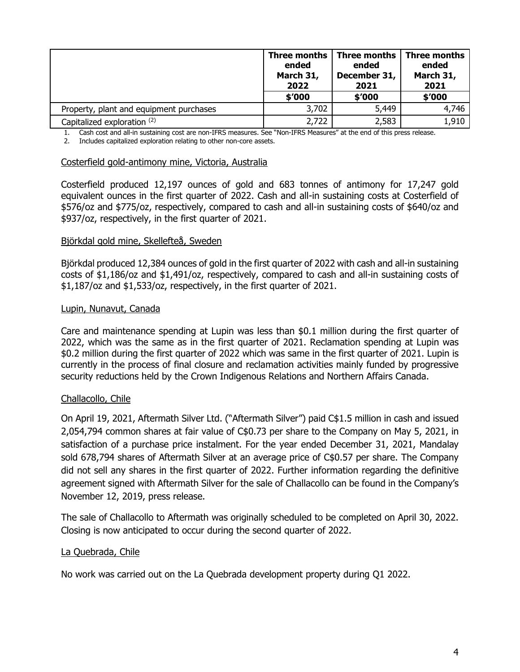| Three months<br>ended<br>March 31,<br>2022 |        | Three months<br>ended<br>December 31,<br>2021 | <b>Three months</b><br>ended<br>March 31,<br>2021 |
|--------------------------------------------|--------|-----------------------------------------------|---------------------------------------------------|
|                                            | \$'000 | \$'000                                        | \$'000                                            |
| Property, plant and equipment purchases    | 3,702  | 5,449                                         | 4,746                                             |
| Capitalized exploration (2)                | 2,722  | 2,583                                         | 1,910                                             |

1. Cash cost and all-in sustaining cost are non-IFRS measures. See "Non-IFRS Measures" at the end of this press release.

2. Includes capitalized exploration relating to other non-core assets.

#### Costerfield gold-antimony mine, Victoria, Australia

Costerfield produced 12,197 ounces of gold and 683 tonnes of antimony for 17,247 gold equivalent ounces in the first quarter of 2022. Cash and all-in sustaining costs at Costerfield of \$576/oz and \$775/oz, respectively, compared to cash and all-in sustaining costs of \$640/oz and \$937/oz, respectively, in the first quarter of 2021.

#### Björkdal gold mine, Skellefteå, Sweden

Björkdal produced 12,384 ounces of gold in the first quarter of 2022 with cash and all-in sustaining costs of \$1,186/oz and \$1,491/oz, respectively, compared to cash and all-in sustaining costs of \$1,187/oz and \$1,533/oz, respectively, in the first quarter of 2021.

#### Lupin, Nunavut, Canada

Care and maintenance spending at Lupin was less than \$0.1 million during the first quarter of 2022, which was the same as in the first quarter of 2021. Reclamation spending at Lupin was \$0.2 million during the first quarter of 2022 which was same in the first quarter of 2021. Lupin is currently in the process of final closure and reclamation activities mainly funded by progressive security reductions held by the Crown Indigenous Relations and Northern Affairs Canada.

#### Challacollo, Chile

On April 19, 2021, Aftermath Silver Ltd. ("Aftermath Silver") paid C\$1.5 million in cash and issued 2,054,794 common shares at fair value of C\$0.73 per share to the Company on May 5, 2021, in satisfaction of a purchase price instalment. For the year ended December 31, 2021, Mandalay sold 678,794 shares of Aftermath Silver at an average price of C\$0.57 per share. The Company did not sell any shares in the first quarter of 2022. Further information regarding the definitive agreement signed with Aftermath Silver for the sale of Challacollo can be found in the Company's November 12, 2019, press release.

The sale of Challacollo to Aftermath was originally scheduled to be completed on April 30, 2022. Closing is now anticipated to occur during the second quarter of 2022.

#### La Quebrada, Chile

No work was carried out on the La Quebrada development property during Q1 2022.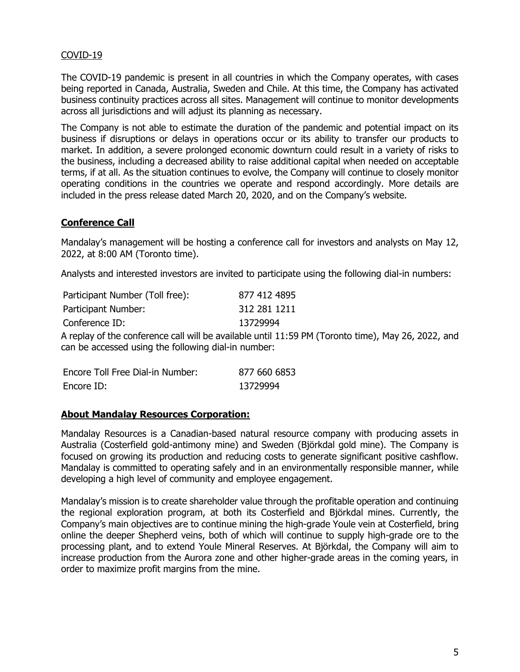## COVID-19

The COVID-19 pandemic is present in all countries in which the Company operates, with cases being reported in Canada, Australia, Sweden and Chile. At this time, the Company has activated business continuity practices across all sites. Management will continue to monitor developments across all jurisdictions and will adjust its planning as necessary.

The Company is not able to estimate the duration of the pandemic and potential impact on its business if disruptions or delays in operations occur or its ability to transfer our products to market. In addition, a severe prolonged economic downturn could result in a variety of risks to the business, including a decreased ability to raise additional capital when needed on acceptable terms, if at all. As the situation continues to evolve, the Company will continue to closely monitor operating conditions in the countries we operate and respond accordingly. More details are included in the press release dated March 20, 2020, and on the Company's website.

## **Conference Call**

Mandalay's management will be hosting a conference call for investors and analysts on May 12, 2022, at 8:00 AM (Toronto time).

Analysts and interested investors are invited to participate using the following dial-in numbers:

| Participant Number (Toll free):                     | 877 412 4895                                                                                       |
|-----------------------------------------------------|----------------------------------------------------------------------------------------------------|
| Participant Number:                                 | 312 281 1211                                                                                       |
| Conference ID:                                      | 13729994                                                                                           |
|                                                     | A replay of the conference call will be available until 11:59 PM (Toronto time), May 26, 2022, and |
| can be accessed using the following dial-in number: |                                                                                                    |

| Encore Toll Free Dial-in Number: | 877 660 6853 |
|----------------------------------|--------------|
| Encore ID:                       | 13729994     |

## **About Mandalay Resources Corporation:**

Mandalay Resources is a Canadian-based natural resource company with producing assets in Australia (Costerfield gold-antimony mine) and Sweden (Björkdal gold mine). The Company is focused on growing its production and reducing costs to generate significant positive cashflow. Mandalay is committed to operating safely and in an environmentally responsible manner, while developing a high level of community and employee engagement.

Mandalay's mission is to create shareholder value through the profitable operation and continuing the regional exploration program, at both its Costerfield and Björkdal mines. Currently, the Company's main objectives are to continue mining the high-grade Youle vein at Costerfield, bring online the deeper Shepherd veins, both of which will continue to supply high-grade ore to the processing plant, and to extend Youle Mineral Reserves. At Björkdal, the Company will aim to increase production from the Aurora zone and other higher-grade areas in the coming years, in order to maximize profit margins from the mine.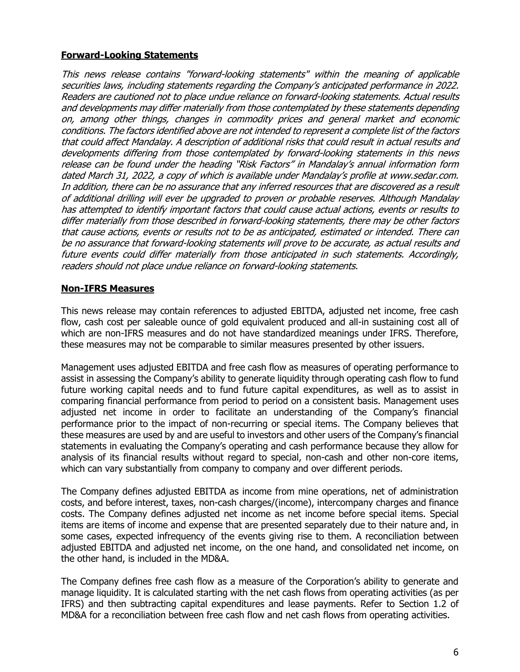# **Forward-Looking Statements**

This news release contains "forward-looking statements" within the meaning of applicable securities laws, including statements regarding the Company's anticipated performance in 2022. Readers are cautioned not to place undue reliance on forward-looking statements. Actual results and developments may differ materially from those contemplated by these statements depending on, among other things, changes in commodity prices and general market and economic conditions. The factors identified above are not intended to represent a complete list of the factors that could affect Mandalay. A description of additional risks that could result in actual results and developments differing from those contemplated by forward-looking statements in this news release can be found under the heading "Risk Factors" in Mandalay's annual information form dated March 31, 2022, a copy of which is available under Mandalay's profile at www.sedar.com. In addition, there can be no assurance that any inferred resources that are discovered as a result of additional drilling will ever be upgraded to proven or probable reserves. Although Mandalay has attempted to identify important factors that could cause actual actions, events or results to differ materially from those described in forward-looking statements, there may be other factors that cause actions, events or results not to be as anticipated, estimated or intended. There can be no assurance that forward-looking statements will prove to be accurate, as actual results and future events could differ materially from those anticipated in such statements. Accordingly, readers should not place undue reliance on forward-looking statements.

# **Non-IFRS Measures**

This news release may contain references to adjusted EBITDA, adjusted net income, free cash flow, cash cost per saleable ounce of gold equivalent produced and all-in sustaining cost all of which are non-IFRS measures and do not have standardized meanings under IFRS. Therefore, these measures may not be comparable to similar measures presented by other issuers.

Management uses adjusted EBITDA and free cash flow as measures of operating performance to assist in assessing the Company's ability to generate liquidity through operating cash flow to fund future working capital needs and to fund future capital expenditures, as well as to assist in comparing financial performance from period to period on a consistent basis. Management uses adjusted net income in order to facilitate an understanding of the Company's financial performance prior to the impact of non-recurring or special items. The Company believes that these measures are used by and are useful to investors and other users of the Company's financial statements in evaluating the Company's operating and cash performance because they allow for analysis of its financial results without regard to special, non-cash and other non-core items, which can vary substantially from company to company and over different periods.

The Company defines adjusted EBITDA as income from mine operations, net of administration costs, and before interest, taxes, non-cash charges/(income), intercompany charges and finance costs. The Company defines adjusted net income as net income before special items. Special items are items of income and expense that are presented separately due to their nature and, in some cases, expected infrequency of the events giving rise to them. A reconciliation between adjusted EBITDA and adjusted net income, on the one hand, and consolidated net income, on the other hand, is included in the MD&A.

The Company defines free cash flow as a measure of the Corporation's ability to generate and manage liquidity. It is calculated starting with the net cash flows from operating activities (as per IFRS) and then subtracting capital expenditures and lease payments. Refer to Section 1.2 of MD&A for a reconciliation between free cash flow and net cash flows from operating activities.